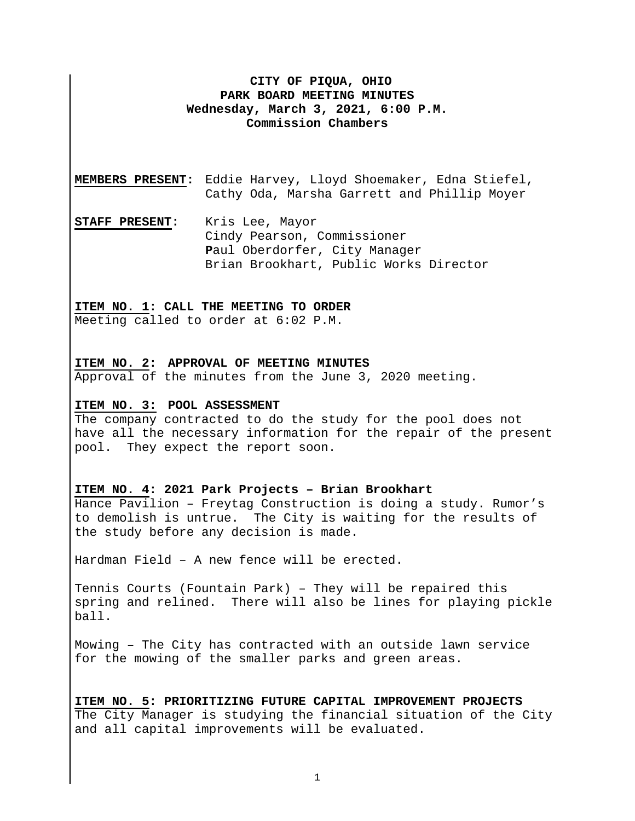# **CITY OF PIQUA, OHIO PARK BOARD MEETING MINUTES Wednesday, March 3, 2021, 6:00 P.M. Commission Chambers**

**MEMBERS PRESENT:** Eddie Harvey, Lloyd Shoemaker, Edna Stiefel, Cathy Oda, Marsha Garrett and Phillip Moyer

**STAFF PRESENT:** Kris Lee, Mayor Cindy Pearson, Commissioner **P**aul Oberdorfer, City Manager Brian Brookhart, Public Works Director

### **ITEM NO. 1: CALL THE MEETING TO ORDER**

Meeting called to order at 6:02 P.M.

### **ITEM NO. 2: APPROVAL OF MEETING MINUTES**

Approval of the minutes from the June 3, 2020 meeting.

#### **ITEM NO. 3: POOL ASSESSMENT**

The company contracted to do the study for the pool does not have all the necessary information for the repair of the present pool. They expect the report soon.

#### **ITEM NO. 4: 2021 Park Projects – Brian Brookhart**

Hance Pavilion – Freytag Construction is doing a study. Rumor's to demolish is untrue. The City is waiting for the results of the study before any decision is made.

Hardman Field – A new fence will be erected.

Tennis Courts (Fountain Park) – They will be repaired this spring and relined. There will also be lines for playing pickle ball.

Mowing – The City has contracted with an outside lawn service for the mowing of the smaller parks and green areas.

**ITEM NO. 5: PRIORITIZING FUTURE CAPITAL IMPROVEMENT PROJECTS**  The City Manager is studying the financial situation of the City and all capital improvements will be evaluated.